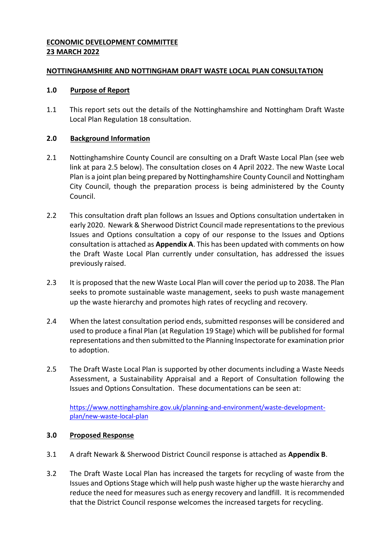## **ECONOMIC DEVELOPMENT COMMITTEE 23 MARCH 2022**

## **NOTTINGHAMSHIRE AND NOTTINGHAM DRAFT WASTE LOCAL PLAN CONSULTATION**

## **1.0 Purpose of Report**

1.1 This report sets out the details of the Nottinghamshire and Nottingham Draft Waste Local Plan Regulation 18 consultation.

## **2.0 Background Information**

- 2.1 Nottinghamshire County Council are consulting on a Draft Waste Local Plan (see web link at para 2.5 below). The consultation closes on 4 April 2022. The new Waste Local Plan is a joint plan being prepared by Nottinghamshire County Council and Nottingham City Council, though the preparation process is being administered by the County Council.
- 2.2 This consultation draft plan follows an Issues and Options consultation undertaken in early 2020. Newark & Sherwood District Council made representations to the previous Issues and Options consultation a copy of our response to the Issues and Options consultation is attached as **Appendix A**. This has been updated with comments on how the Draft Waste Local Plan currently under consultation, has addressed the issues previously raised.
- 2.3 It is proposed that the new Waste Local Plan will cover the period up to 2038. The Plan seeks to promote sustainable waste management, seeks to push waste management up the waste hierarchy and promotes high rates of recycling and recovery.
- 2.4 When the latest consultation period ends, submitted responses will be considered and used to produce a final Plan (at Regulation 19 Stage) which will be published for formal representations and then submitted to the Planning Inspectorate for examination prior to adoption.
- 2.5 The Draft Waste Local Plan is supported by other documents including a Waste Needs Assessment, a Sustainability Appraisal and a Report of Consultation following the Issues and Options Consultation. These documentations can be seen at:

[https://www.nottinghamshire.gov.uk/planning-and-environment/waste-development](https://www.nottinghamshire.gov.uk/planning-and-environment/waste-development-plan/new-waste-local-plan)[plan/new-waste-local-plan](https://www.nottinghamshire.gov.uk/planning-and-environment/waste-development-plan/new-waste-local-plan)

## **3.0 Proposed Response**

- 3.1 A draft Newark & Sherwood District Council response is attached as **Appendix B**.
- 3.2 The Draft Waste Local Plan has increased the targets for recycling of waste from the Issues and Options Stage which will help push waste higher up the waste hierarchy and reduce the need for measures such as energy recovery and landfill. It is recommended that the District Council response welcomes the increased targets for recycling.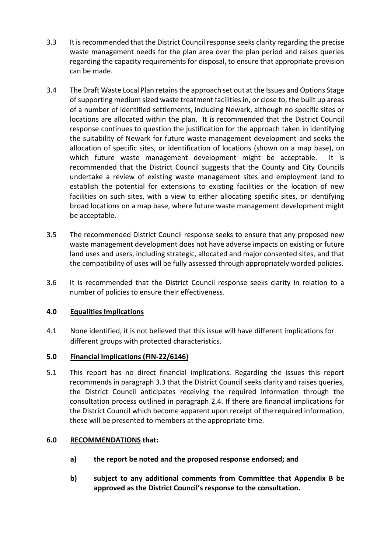- 3.3 It is recommended that the District Council response seeks clarity regarding the precise waste management needs for the plan area over the plan period and raises queries regarding the capacity requirements for disposal, to ensure that appropriate provision can be made.
- 3.4 The Draft Waste Local Plan retains the approach set out at the Issues and Options Stage of supporting medium sized waste treatment facilities in, or close to, the built up areas of a number of identified settlements, including Newark, although no specific sites or locations are allocated within the plan. It is recommended that the District Council response continues to question the justification for the approach taken in identifying the suitability of Newark for future waste management development and seeks the allocation of specific sites, or identification of locations (shown on a map base), on which future waste management development might be acceptable. It is recommended that the District Council suggests that the County and City Councils undertake a review of existing waste management sites and employment land to establish the potential for extensions to existing facilities or the location of new facilities on such sites, with a view to either allocating specific sites, or identifying broad locations on a map base, where future waste management development might be acceptable.
- 3.5 The recommended District Council response seeks to ensure that any proposed new waste management development does not have adverse impacts on existing or future land uses and users, including strategic, allocated and major consented sites, and that the compatibility of uses will be fully assessed through appropriately worded policies.
- 3.6 It is recommended that the District Council response seeks clarity in relation to a number of policies to ensure their effectiveness.

## **4.0 Equalities Implications**

4.1 None identified, it is not believed that this issue will have different implications for different groups with protected characteristics.

## **5.0 Financial Implications (FIN-22/6146)**

5.1 This report has no direct financial implications. Regarding the issues this report recommends in paragraph 3.3 that the District Council seeks clarity and raises queries, the District Council anticipates receiving the required information through the consultation process outlined in paragraph 2.4. If there are financial implications for the District Council which become apparent upon receipt of the required information, these will be presented to members at the appropriate time.

#### **6.0 RECOMMENDATIONS that:**

- **a) the report be noted and the proposed response endorsed; and**
- **b) subject to any additional comments from Committee that Appendix B be approved as the District Council's response to the consultation.**